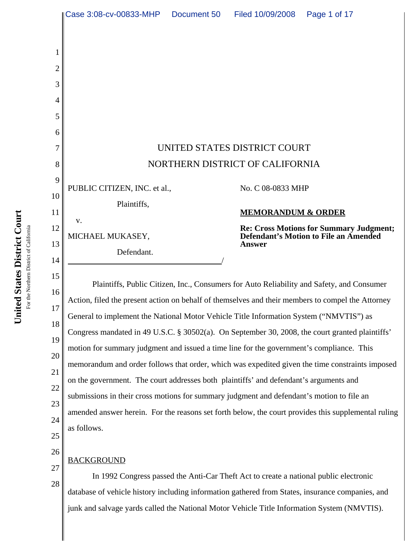|                                         | Case 3:08-cv-00833-MHP                                                                            | Document 50 | Filed 10/09/2008                               | Page 1 of 17                                                                              |
|-----------------------------------------|---------------------------------------------------------------------------------------------------|-------------|------------------------------------------------|-------------------------------------------------------------------------------------------|
| 1<br>$\overline{2}$<br>3<br>4<br>5<br>6 |                                                                                                   |             |                                                |                                                                                           |
| 7<br>8                                  | UNITED STATES DISTRICT COURT<br>NORTHERN DISTRICT OF CALIFORNIA                                   |             |                                                |                                                                                           |
| 9<br>10                                 | PUBLIC CITIZEN, INC. et al.,<br>Plaintiffs,                                                       |             | No. C 08-0833 MHP                              |                                                                                           |
| 11<br>12<br>13<br>14                    | v.<br>MICHAEL MUKASEY,<br>Defendant.                                                              |             | <b>MEMORANDUM &amp; ORDER</b><br><b>Answer</b> | Re: Cross Motions for Summary Judgment;<br>Defendant's Motion to File an Amended          |
| 15<br>16<br>17                          | Action, filed the present action on behalf of themselves and their members to compel the Attorney |             |                                                | Plaintiffs, Public Citizen, Inc., Consumers for Auto Reliability and Safety, and Consumer |

18 19 20 21 22 23 24 25 Action, filed the present action on behalf of themselves and their members to compel the Attorney General to implement the National Motor Vehicle Title Information System ("NMVTIS") as Congress mandated in 49 U.S.C. § 30502(a). On September 30, 2008, the court granted plaintiffs' motion for summary judgment and issued a time line for the government's compliance. This memorandum and order follows that order, which was expedited given the time constraints imposed on the government. The court addresses both plaintiffs' and defendant's arguments and submissions in their cross motions for summary judgment and defendant's motion to file an amended answer herein. For the reasons set forth below, the court provides this supplemental ruling as follows.

# **BACKGROUND**

26

27

28

In 1992 Congress passed the Anti-Car Theft Act to create a national public electronic database of vehicle history including information gathered from States, insurance companies, and junk and salvage yards called the National Motor Vehicle Title Information System (NMVTIS).

United States District Court **United States District Court** For the Northern District of California For the Northern District of California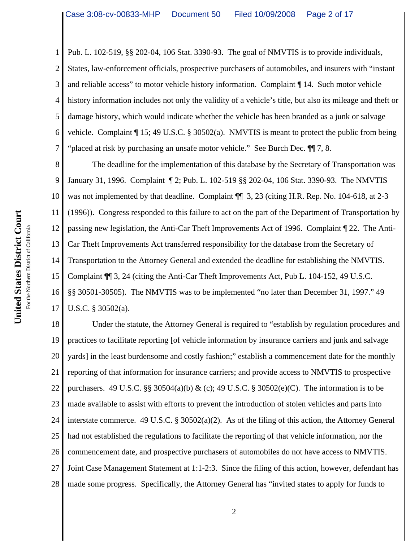1 2 3 4 5 6 7 Pub. L. 102-519, §§ 202-04, 106 Stat. 3390-93. The goal of NMVTIS is to provide individuals, States, law-enforcement officials, prospective purchasers of automobiles, and insurers with "instant and reliable access" to motor vehicle history information. Complaint ¶ 14. Such motor vehicle history information includes not only the validity of a vehicle's title, but also its mileage and theft or damage history, which would indicate whether the vehicle has been branded as a junk or salvage vehicle. Complaint  $\P$  15; 49 U.S.C. § 30502(a). NMVTIS is meant to protect the public from being "placed at risk by purchasing an unsafe motor vehicle." See Burch Dec.  $\P$  7, 8.

8 9 10 11 12 13 14 15 16 17 The deadline for the implementation of this database by the Secretary of Transportation was January 31, 1996. Complaint ¶ 2; Pub. L. 102-519 §§ 202-04, 106 Stat. 3390-93. The NMVTIS was not implemented by that deadline. Complaint  $\P$  3, 23 (citing H.R. Rep. No. 104-618, at 2-3 (1996)). Congress responded to this failure to act on the part of the Department of Transportation by passing new legislation, the Anti-Car Theft Improvements Act of 1996. Complaint ¶ 22. The Anti-Car Theft Improvements Act transferred responsibility for the database from the Secretary of Transportation to the Attorney General and extended the deadline for establishing the NMVTIS. Complaint ¶¶ 3, 24 (citing the Anti-Car Theft Improvements Act, Pub L. 104-152, 49 U.S.C. §§ 30501-30505). The NMVTIS was to be implemented "no later than December 31, 1997." 49 U.S.C. § 30502(a).

18 19 20 21 22 23 24 25 26 27 28 Under the statute, the Attorney General is required to "establish by regulation procedures and practices to facilitate reporting [of vehicle information by insurance carriers and junk and salvage yards] in the least burdensome and costly fashion;" establish a commencement date for the monthly reporting of that information for insurance carriers; and provide access to NMVTIS to prospective purchasers. 49 U.S.C. §§ 30504(a)(b) & (c); 49 U.S.C. § 30502(e)(C). The information is to be made available to assist with efforts to prevent the introduction of stolen vehicles and parts into interstate commerce. 49 U.S.C. § 30502(a)(2). As of the filing of this action, the Attorney General had not established the regulations to facilitate the reporting of that vehicle information, nor the commencement date, and prospective purchasers of automobiles do not have access to NMVTIS. Joint Case Management Statement at 1:1-2:3. Since the filing of this action, however, defendant has made some progress. Specifically, the Attorney General has "invited states to apply for funds to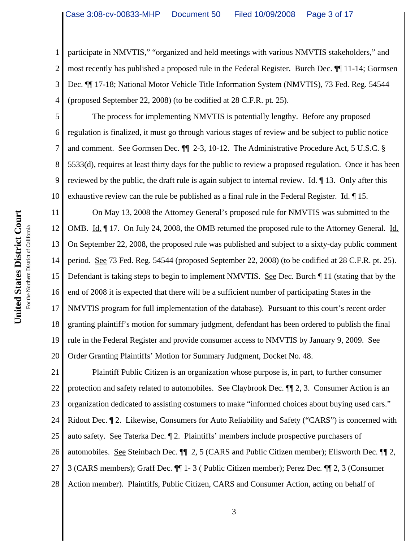1 2 3 4 participate in NMVTIS," "organized and held meetings with various NMVTIS stakeholders," and most recently has published a proposed rule in the Federal Register. Burch Dec. ¶¶ 11-14; Gormsen Dec. ¶¶ 17-18; National Motor Vehicle Title Information System (NMVTIS), 73 Fed. Reg. 54544 (proposed September 22, 2008) (to be codified at 28 C.F.R. pt. 25).

5 6 7 8 9 10 The process for implementing NMVTIS is potentially lengthy. Before any proposed regulation is finalized, it must go through various stages of review and be subject to public notice and comment. See Gormsen Dec. ¶¶ 2-3, 10-12. The Administrative Procedure Act, 5 U.S.C. § 5533(d), requires at least thirty days for the public to review a proposed regulation. Once it has been reviewed by the public, the draft rule is again subject to internal review. Id. 13. Only after this exhaustive review can the rule be published as a final rule in the Federal Register. Id. ¶ 15.

11 12 13 14 15 16 17 18 19 20 On May 13, 2008 the Attorney General's proposed rule for NMVTIS was submitted to the OMB. Id. ¶ 17. On July 24, 2008, the OMB returned the proposed rule to the Attorney General. Id. On September 22, 2008, the proposed rule was published and subject to a sixty-day public comment period. See 73 Fed. Reg. 54544 (proposed September 22, 2008) (to be codified at 28 C.F.R. pt. 25). Defendant is taking steps to begin to implement NMVTIS. See Dec. Burch ¶ 11 (stating that by the end of 2008 it is expected that there will be a sufficient number of participating States in the NMVTIS program for full implementation of the database). Pursuant to this court's recent order granting plaintiff's motion for summary judgment, defendant has been ordered to publish the final rule in the Federal Register and provide consumer access to NMVTIS by January 9, 2009. See Order Granting Plaintiffs' Motion for Summary Judgment, Docket No. 48.

21 22 23 24 25 26 27 28 Plaintiff Public Citizen is an organization whose purpose is, in part, to further consumer protection and safety related to automobiles. See Claybrook Dec. ¶¶ 2, 3. Consumer Action is an organization dedicated to assisting costumers to make "informed choices about buying used cars." Ridout Dec. ¶ 2. Likewise, Consumers for Auto Reliability and Safety ("CARS") is concerned with auto safety. See Taterka Dec. ¶ 2. Plaintiffs' members include prospective purchasers of automobiles. See Steinbach Dec. ¶¶ 2, 5 (CARS and Public Citizen member); Ellsworth Dec. ¶¶ 2, 3 (CARS members); Graff Dec. ¶¶ 1- 3 ( Public Citizen member); Perez Dec. ¶¶ 2, 3 (Consumer Action member). Plaintiffs, Public Citizen, CARS and Consumer Action, acting on behalf of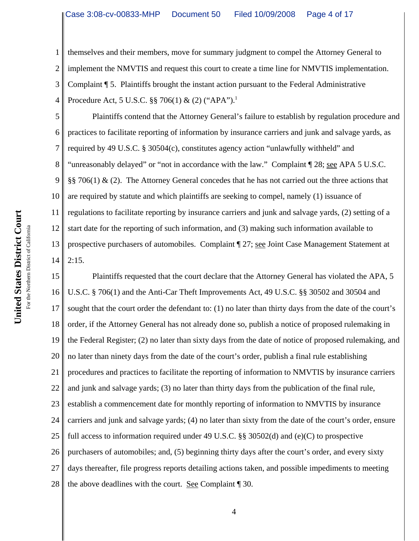1 2 3 4 themselves and their members, move for summary judgment to compel the Attorney General to implement the NMVTIS and request this court to create a time line for NMVTIS implementation. Complaint ¶ 5. Plaintiffs brought the instant action pursuant to the Federal Administrative Procedure Act, 5 U.S.C. §§ 706(1) & (2) ("APA").<sup>1</sup>

5 6 7 8 9 10 11 12 13 14 Plaintiffs contend that the Attorney General's failure to establish by regulation procedure and practices to facilitate reporting of information by insurance carriers and junk and salvage yards, as required by 49 U.S.C. § 30504(c), constitutes agency action "unlawfully withheld" and "unreasonably delayed" or "not in accordance with the law." Complaint ¶ 28; see APA 5 U.S.C. §§ 706(1)  $\&$  (2). The Attorney General concedes that he has not carried out the three actions that are required by statute and which plaintiffs are seeking to compel, namely (1) issuance of regulations to facilitate reporting by insurance carriers and junk and salvage yards, (2) setting of a start date for the reporting of such information, and (3) making such information available to prospective purchasers of automobiles. Complaint ¶ 27; see Joint Case Management Statement at  $2:15.$ 

15 16 17 18 19 20 21 22 23 24 25 26 27 28 Plaintiffs requested that the court declare that the Attorney General has violated the APA, 5 U.S.C. § 706(1) and the Anti-Car Theft Improvements Act, 49 U.S.C. §§ 30502 and 30504 and sought that the court order the defendant to: (1) no later than thirty days from the date of the court's order, if the Attorney General has not already done so, publish a notice of proposed rulemaking in the Federal Register; (2) no later than sixty days from the date of notice of proposed rulemaking, and no later than ninety days from the date of the court's order, publish a final rule establishing procedures and practices to facilitate the reporting of information to NMVTIS by insurance carriers and junk and salvage yards; (3) no later than thirty days from the publication of the final rule, establish a commencement date for monthly reporting of information to NMVTIS by insurance carriers and junk and salvage yards; (4) no later than sixty from the date of the court's order, ensure full access to information required under 49 U.S.C. §§ 30502(d) and (e)(C) to prospective purchasers of automobiles; and, (5) beginning thirty days after the court's order, and every sixty days thereafter, file progress reports detailing actions taken, and possible impediments to meeting the above deadlines with the court. See Complaint ¶ 30.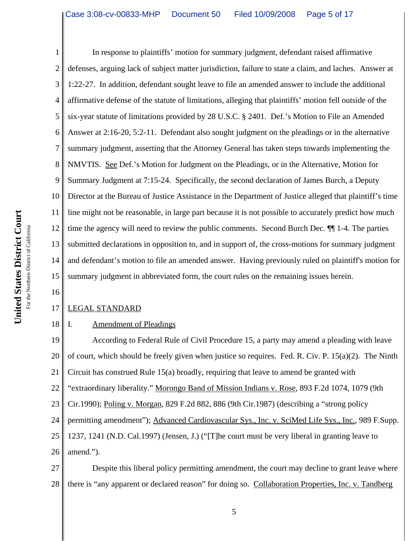16

1 2 3 4 5 6 7 8 9 10 11 12 13 14 15 In response to plaintiffs' motion for summary judgment, defendant raised affirmative defenses, arguing lack of subject matter jurisdiction, failure to state a claim, and laches. Answer at 1:22-27. In addition, defendant sought leave to file an amended answer to include the additional affirmative defense of the statute of limitations, alleging that plaintiffs' motion fell outside of the six-year statute of limitations provided by 28 U.S.C. § 2401. Def.'s Motion to File an Amended Answer at 2:16-20, 5:2-11. Defendant also sought judgment on the pleadings or in the alternative summary judgment, asserting that the Attorney General has taken steps towards implementing the NMVTIS. See Def.'s Motion for Judgment on the Pleadings, or in the Alternative, Motion for Summary Judgment at 7:15-24. Specifically, the second declaration of James Burch, a Deputy Director at the Bureau of Justice Assistance in the Department of Justice alleged that plaintiff's time line might not be reasonable, in large part because it is not possible to accurately predict how much time the agency will need to review the public comments. Second Burch Dec. ¶¶ 1-4. The parties submitted declarations in opposition to, and in support of, the cross-motions for summary judgment and defendant's motion to file an amended answer. Having previously ruled on plaintiff's motion for summary judgment in abbreviated form, the court rules on the remaining issues herein.

#### 17 LEGAL STANDARD

#### 18 I. Amendment of Pleadings

19 20 21 22 23 24 25 26 According to Federal Rule of Civil Procedure 15, a party may amend a pleading with leave of court, which should be freely given when justice so requires. Fed. R. Civ. P. 15(a)(2). The Ninth Circuit has construed Rule 15(a) broadly, requiring that leave to amend be granted with "extraordinary liberality." Morongo Band of Mission Indians v. Rose, 893 F.2d 1074, 1079 (9th Cir.1990); Poling v. Morgan, 829 F.2d 882, 886 (9th Cir.1987) (describing a "strong policy permitting amendment"); Advanced Cardiovascular Sys., Inc. v. SciMed Life Sys., Inc., 989 F.Supp. 1237, 1241 (N.D. Cal.1997) (Jensen, J.) ("[T]he court must be very liberal in granting leave to amend.").

27 28 Despite this liberal policy permitting amendment, the court may decline to grant leave where there is "any apparent or declared reason" for doing so. Collaboration Properties, Inc. v. Tandberg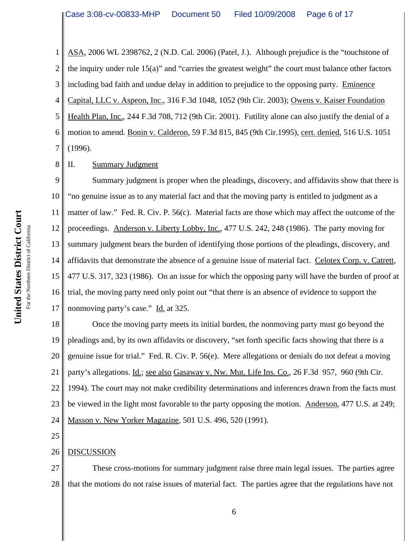1 2 3 4 5 6 7 ASA, 2006 WL 2398762, 2 (N.D. Cal. 2006) (Patel, J.). Although prejudice is the "touchstone of the inquiry under rule 15(a)" and "carries the greatest weight" the court must balance other factors including bad faith and undue delay in addition to prejudice to the opposing party. Eminence Capital, LLC v. Aspeon, Inc., 316 F.3d 1048, 1052 (9th Cir. 2003); Owens v. Kaiser Foundation Health Plan, Inc., 244 F.3d 708, 712 (9th Cir. 2001). Futility alone can also justify the denial of a motion to amend. Bonin v. Calderon, 59 F.3d 815, 845 (9th Cir.1995), cert. denied, 516 U.S. 1051 (1996).

8 II. Summary Judgment

9 10 11 12 13 14 15 16 17 Summary judgment is proper when the pleadings, discovery, and affidavits show that there is "no genuine issue as to any material fact and that the moving party is entitled to judgment as a matter of law." Fed. R. Civ. P. 56(c). Material facts are those which may affect the outcome of the proceedings. Anderson v. Liberty Lobby, Inc., 477 U.S. 242, 248 (1986). The party moving for summary judgment bears the burden of identifying those portions of the pleadings, discovery, and affidavits that demonstrate the absence of a genuine issue of material fact. Celotex Corp. v. Catrett, 477 U.S. 317, 323 (1986). On an issue for which the opposing party will have the burden of proof at trial, the moving party need only point out "that there is an absence of evidence to support the nonmoving party's case." Id. at 325.

18 19 20 21 22 23 24 Once the moving party meets its initial burden, the nonmoving party must go beyond the pleadings and, by its own affidavits or discovery, "set forth specific facts showing that there is a genuine issue for trial." Fed. R. Civ. P. 56(e). Mere allegations or denials do not defeat a moving party's allegations. Id.; see also Gasaway v. Nw. Mut. Life Ins. Co., 26 F.3d 957, 960 (9th Cir. 1994). The court may not make credibility determinations and inferences drawn from the facts must be viewed in the light most favorable to the party opposing the motion. Anderson, 477 U.S. at 249; Masson v. New Yorker Magazine, 501 U.S. 496, 520 (1991).

- 25
- 26 DISCUSSION

27 28 These cross-motions for summary judgment raise three main legal issues. The parties agree that the motions do not raise issues of material fact. The parties agree that the regulations have not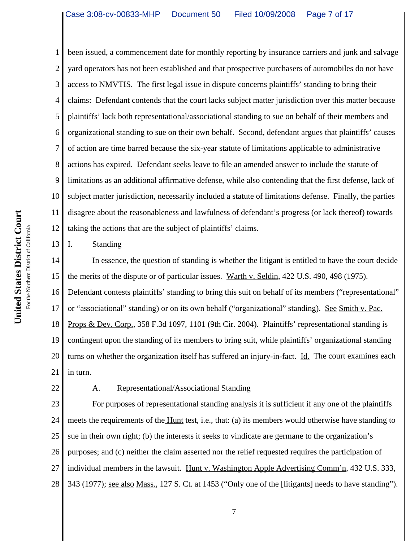1 2 3 4 5 6 7 8 9 10 11 12 been issued, a commencement date for monthly reporting by insurance carriers and junk and salvage yard operators has not been established and that prospective purchasers of automobiles do not have access to NMVTIS. The first legal issue in dispute concerns plaintiffs' standing to bring their claims: Defendant contends that the court lacks subject matter jurisdiction over this matter because plaintiffs' lack both representational/associational standing to sue on behalf of their members and organizational standing to sue on their own behalf. Second, defendant argues that plaintiffs' causes of action are time barred because the six-year statute of limitations applicable to administrative actions has expired. Defendant seeks leave to file an amended answer to include the statute of limitations as an additional affirmative defense, while also contending that the first defense, lack of subject matter jurisdiction, necessarily included a statute of limitations defense. Finally, the parties disagree about the reasonableness and lawfulness of defendant's progress (or lack thereof) towards taking the actions that are the subject of plaintiffs' claims.

I. Standing

14 15 In essence, the question of standing is whether the litigant is entitled to have the court decide the merits of the dispute or of particular issues. Warth v. Seldin, 422 U.S. 490, 498 (1975).

16 17 18 19 20 21 Defendant contests plaintiffs' standing to bring this suit on behalf of its members ("representational" or "associational" standing) or on its own behalf ("organizational" standing). See Smith v. Pac. Props & Dev. Corp., 358 F.3d 1097, 1101 (9th Cir. 2004). Plaintiffs' representational standing is contingent upon the standing of its members to bring suit, while plaintiffs' organizational standing turns on whether the organization itself has suffered an injury-in-fact. Id. The court examines each in turn.

22

13

## A. Representational/Associational Standing

23 24 25 26 27 28 For purposes of representational standing analysis it is sufficient if any one of the plaintiffs meets the requirements of the <u>Hunt</u> test, i.e., that: (a) its members would otherwise have standing to sue in their own right; (b) the interests it seeks to vindicate are germane to the organization's purposes; and (c) neither the claim asserted nor the relief requested requires the participation of individual members in the lawsuit. Hunt v. Washington Apple Advertising Comm'n, 432 U.S. 333, 343 (1977); see also Mass., 127 S. Ct. at 1453 ("Only one of the [litigants] needs to have standing").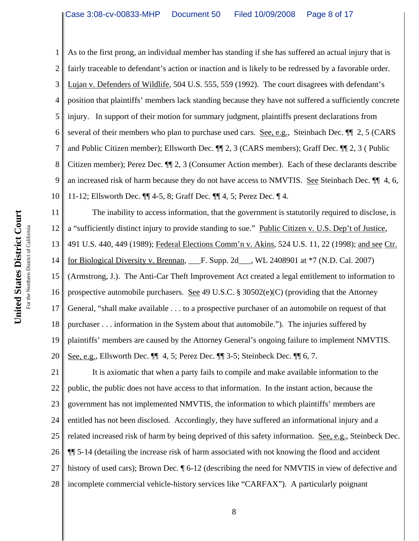1 2 3 4 5 6 7 8 9 10 11 As to the first prong, an individual member has standing if she has suffered an actual injury that is fairly traceable to defendant's action or inaction and is likely to be redressed by a favorable order. Lujan v. Defenders of Wildlife, 504 U.S. 555, 559 (1992). The court disagrees with defendant's position that plaintiffs' members lack standing because they have not suffered a sufficiently concrete injury. In support of their motion for summary judgment, plaintiffs present declarations from several of their members who plan to purchase used cars. See, e.g., Steinbach Dec. ¶¶ 2, 5 (CARS and Public Citizen member); Ellsworth Dec. ¶¶ 2, 3 (CARS members); Graff Dec. ¶¶ 2, 3 ( Public Citizen member); Perez Dec. ¶¶ 2, 3 (Consumer Action member). Each of these declarants describe an increased risk of harm because they do not have access to NMVTIS. See Steinbach Dec. ¶¶ 4, 6, 11-12; Ellsworth Dec. ¶¶ 4-5, 8; Graff Dec. ¶¶ 4, 5; Perez Dec. ¶ 4. The inability to access information, that the government is statutorily required to disclose, is

a "sufficiently distinct injury to provide standing to sue." Public Citizen v. U.S. Dep't of Justice,

13 491 U.S. 440, 449 (1989); Federal Elections Comm'n v. Akins, 524 U.S. 11, 22 (1998); and see Ctr.

14 for Biological Diversity v. Brennan,  $\qquad$  F. Supp. 2d  $\qquad$ , WL 2408901 at  $*7$  (N.D. Cal. 2007)

15 (Armstrong, J.). The Anti-Car Theft Improvement Act created a legal entitlement to information to

16 prospective automobile purchasers. See 49 U.S.C.  $\S 30502(e)(C)$  (providing that the Attorney

17 General, "shall make available . . . to a prospective purchaser of an automobile on request of that

18 purchaser . . . information in the System about that automobile."). The injuries suffered by

19 plaintiffs' members are caused by the Attorney General's ongoing failure to implement NMVTIS.

20 See, e.g., Ellsworth Dec. ¶¶ 4, 5; Perez Dec. ¶¶ 3-5; Steinbeck Dec. ¶¶ 6, 7.

21 22 23 24 25 26 27 28 It is axiomatic that when a party fails to compile and make available information to the public, the public does not have access to that information. In the instant action, because the government has not implemented NMVTIS, the information to which plaintiffs' members are entitled has not been disclosed. Accordingly, they have suffered an informational injury and a related increased risk of harm by being deprived of this safety information. See, e.g., Steinbeck Dec. ¶¶ 5-14 (detailing the increase risk of harm associated with not knowing the flood and accident history of used cars); Brown Dec.  $\P$  6-12 (describing the need for NMVTIS in view of defective and incomplete commercial vehicle-history services like "CARFAX"). A particularly poignant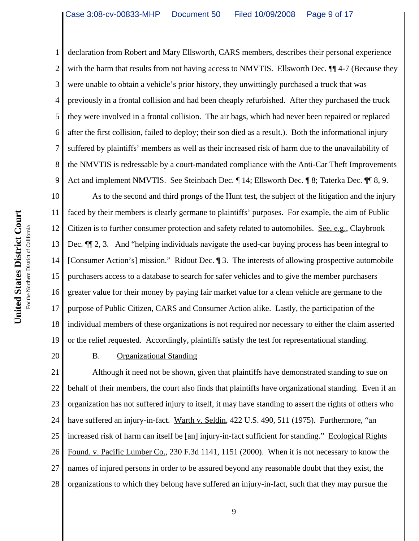1 2 3 4 5 6 7 8 9 declaration from Robert and Mary Ellsworth, CARS members, describes their personal experience with the harm that results from not having access to NMVTIS. Ellsworth Dec.  $\P$  4-7 (Because they were unable to obtain a vehicle's prior history, they unwittingly purchased a truck that was previously in a frontal collision and had been cheaply refurbished. After they purchased the truck they were involved in a frontal collision. The air bags, which had never been repaired or replaced after the first collision, failed to deploy; their son died as a result.). Both the informational injury suffered by plaintiffs' members as well as their increased risk of harm due to the unavailability of the NMVTIS is redressable by a court-mandated compliance with the Anti-Car Theft Improvements Act and implement NMVTIS. See Steinbach Dec.  $\P$  14; Ellsworth Dec.  $\P$  8; Taterka Dec.  $\P$  8, 9.

10 11 12 13 14 15 16 17 18 19 As to the second and third prongs of the Hunt test, the subject of the litigation and the injury faced by their members is clearly germane to plaintiffs' purposes. For example, the aim of Public Citizen is to further consumer protection and safety related to automobiles. See, e.g., Claybrook Dec.  $\P$  2, 3. And "helping individuals navigate the used-car buying process has been integral to [Consumer Action's] mission." Ridout Dec. ¶ 3. The interests of allowing prospective automobile purchasers access to a database to search for safer vehicles and to give the member purchasers greater value for their money by paying fair market value for a clean vehicle are germane to the purpose of Public Citizen, CARS and Consumer Action alike. Lastly, the participation of the individual members of these organizations is not required nor necessary to either the claim asserted or the relief requested. Accordingly, plaintiffs satisfy the test for representational standing.

20

### B. Organizational Standing

21 22 23 24 25 26 27 28 Although it need not be shown, given that plaintiffs have demonstrated standing to sue on behalf of their members, the court also finds that plaintiffs have organizational standing. Even if an organization has not suffered injury to itself, it may have standing to assert the rights of others who have suffered an injury-in-fact. Warth v. Seldin, 422 U.S. 490, 511 (1975). Furthermore, "an increased risk of harm can itself be [an] injury-in-fact sufficient for standing." Ecological Rights Found. v. Pacific Lumber Co., 230 F.3d 1141, 1151 (2000). When it is not necessary to know the names of injured persons in order to be assured beyond any reasonable doubt that they exist, the organizations to which they belong have suffered an injury-in-fact, such that they may pursue the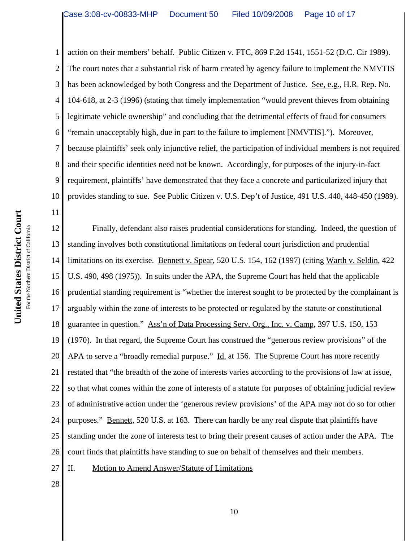1 2 3 4 5 6 7 8 9 10 action on their members' behalf. Public Citizen v. FTC, 869 F.2d 1541, 1551-52 (D.C. Cir 1989). The court notes that a substantial risk of harm created by agency failure to implement the NMVTIS has been acknowledged by both Congress and the Department of Justice. See, e.g., H.R. Rep. No. 104-618, at 2-3 (1996) (stating that timely implementation "would prevent thieves from obtaining legitimate vehicle ownership" and concluding that the detrimental effects of fraud for consumers "remain unacceptably high, due in part to the failure to implement [NMVTIS]."). Moreover, because plaintiffs' seek only injunctive relief, the participation of individual members is not required and their specific identities need not be known. Accordingly, for purposes of the injury-in-fact requirement, plaintiffs' have demonstrated that they face a concrete and particularized injury that provides standing to sue. See Public Citizen v. U.S. Dep't of Justice, 491 U.S. 440, 448-450 (1989).

12 13 14 15 16 17 18 19 20 21 22 23 24 25 26 27 Finally, defendant also raises prudential considerations for standing. Indeed, the question of standing involves both constitutional limitations on federal court jurisdiction and prudential limitations on its exercise. Bennett v. Spear, 520 U.S. 154, 162 (1997) (citing Warth v. Seldin, 422 U.S. 490, 498 (1975)). In suits under the APA, the Supreme Court has held that the applicable prudential standing requirement is "whether the interest sought to be protected by the complainant is arguably within the zone of interests to be protected or regulated by the statute or constitutional guarantee in question." Ass'n of Data Processing Serv. Org., Inc. v. Camp, 397 U.S. 150, 153 (1970). In that regard, the Supreme Court has construed the "generous review provisions" of the APA to serve a "broadly remedial purpose." Id. at 156. The Supreme Court has more recently restated that "the breadth of the zone of interests varies according to the provisions of law at issue, so that what comes within the zone of interests of a statute for purposes of obtaining judicial review of administrative action under the 'generous review provisions' of the APA may not do so for other purposes." Bennett, 520 U.S. at 163. There can hardly be any real dispute that plaintiffs have standing under the zone of interests test to bring their present causes of action under the APA. The court finds that plaintiffs have standing to sue on behalf of themselves and their members. II. Motion to Amend Answer/Statute of Limitations

United States District Court **United States District Court** For the Northern District of California For the Northern District of California 11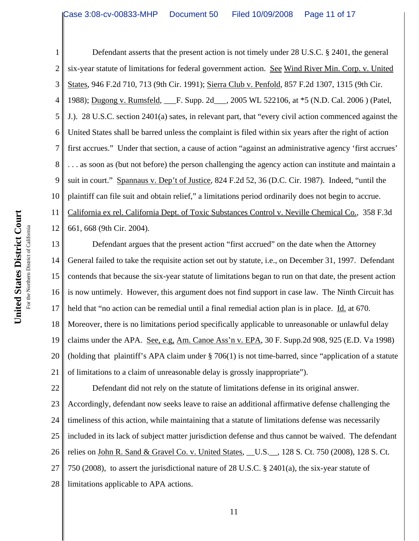1 2 3 4 5 6 7 8 9 10 11 12 Defendant asserts that the present action is not timely under 28 U.S.C. § 2401, the general six-year statute of limitations for federal government action. See Wind River Min. Corp. v. United States, 946 F.2d 710, 713 (9th Cir. 1991); Sierra Club v. Penfold, 857 F.2d 1307, 1315 (9th Cir. 1988); Dugong v. Rumsfeld, F. Supp. 2d<sub>13</sub>, 2005 WL 522106, at \*5 (N.D. Cal. 2006) (Patel, J.). 28 U.S.C. section 2401(a) sates, in relevant part, that "every civil action commenced against the United States shall be barred unless the complaint is filed within six years after the right of action first accrues." Under that section, a cause of action "against an administrative agency 'first accrues' . . . as soon as (but not before) the person challenging the agency action can institute and maintain a suit in court." Spannaus v. Dep't of Justice, 824 F.2d 52, 36 (D.C. Cir. 1987). Indeed, "until the plaintiff can file suit and obtain relief," a limitations period ordinarily does not begin to accrue. California ex rel. California Dept. of Toxic Substances Control v. Neville Chemical Co., 358 F.3d 661, 668 (9th Cir. 2004).

13 14 15 16 17 18 19 20 21 Defendant argues that the present action "first accrued" on the date when the Attorney General failed to take the requisite action set out by statute, i.e., on December 31, 1997. Defendant contends that because the six-year statute of limitations began to run on that date, the present action is now untimely. However, this argument does not find support in case law. The Ninth Circuit has held that "no action can be remedial until a final remedial action plan is in place. Id. at 670. Moreover, there is no limitations period specifically applicable to unreasonable or unlawful delay claims under the APA. See, e.g, Am. Canoe Ass'n v. EPA, 30 F. Supp.2d 908, 925 (E.D. Va 1998) (holding that plaintiff's APA claim under § 706(1) is not time-barred, since "application of a statute of limitations to a claim of unreasonable delay is grossly inappropriate").

22 23 24 25 26 27 28 Defendant did not rely on the statute of limitations defense in its original answer. Accordingly, defendant now seeks leave to raise an additional affirmative defense challenging the timeliness of this action, while maintaining that a statute of limitations defense was necessarily included in its lack of subject matter jurisdiction defense and thus cannot be waived. The defendant relies on John R. Sand & Gravel Co. v. United States, \_\_U.S.\_\_, 128 S. Ct. 750 (2008), 128 S. Ct. 750 (2008), to assert the jurisdictional nature of 28 U.S.C. § 2401(a), the six-year statute of limitations applicable to APA actions.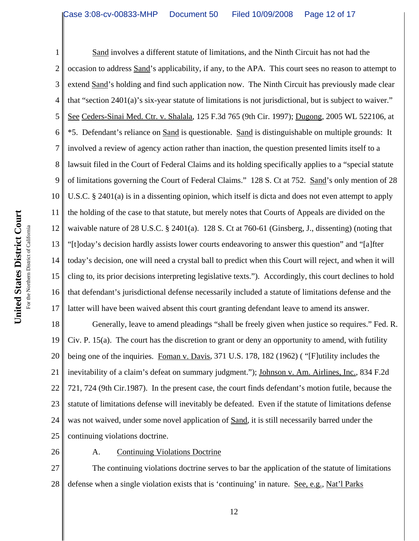1 2 3 4 5 6 7 8 9 10 11 12 13 14 15 16 17 Sand involves a different statute of limitations, and the Ninth Circuit has not had the occasion to address Sand's applicability, if any, to the APA. This court sees no reason to attempt to extend Sand's holding and find such application now. The Ninth Circuit has previously made clear that "section 2401(a)'s six-year statute of limitations is not jurisdictional, but is subject to waiver." See Ceders-Sinai Med. Ctr. v. Shalala, 125 F.3d 765 (9th Cir. 1997); Dugong, 2005 WL 522106, at \*5. Defendant's reliance on Sand is questionable. Sand is distinguishable on multiple grounds: It involved a review of agency action rather than inaction, the question presented limits itself to a lawsuit filed in the Court of Federal Claims and its holding specifically applies to a "special statute of limitations governing the Court of Federal Claims." 128 S. Ct at 752. Sand's only mention of 28 U.S.C. § 2401(a) is in a dissenting opinion, which itself is dicta and does not even attempt to apply the holding of the case to that statute, but merely notes that Courts of Appeals are divided on the waivable nature of 28 U.S.C. § 2401(a). 128 S. Ct at 760-61 (Ginsberg, J., dissenting) (noting that "[t]oday's decision hardly assists lower courts endeavoring to answer this question" and "[a]fter today's decision, one will need a crystal ball to predict when this Court will reject, and when it will cling to, its prior decisions interpreting legislative texts."). Accordingly, this court declines to hold that defendant's jurisdictional defense necessarily included a statute of limitations defense and the latter will have been waived absent this court granting defendant leave to amend its answer.

18 19 20 21 22 23 24 25 Generally, leave to amend pleadings "shall be freely given when justice so requires." Fed. R. Civ. P. 15(a). The court has the discretion to grant or deny an opportunity to amend, with futility being one of the inquiries. Foman v. Davis, 371 U.S. 178, 182 (1962) ( "[F]utility includes the inevitability of a claim's defeat on summary judgment."); Johnson v. Am. Airlines, Inc., 834 F.2d 721, 724 (9th Cir.1987). In the present case, the court finds defendant's motion futile, because the statute of limitations defense will inevitably be defeated. Even if the statute of limitations defense was not waived, under some novel application of Sand, it is still necessarily barred under the continuing violations doctrine.

26

A. Continuing Violations Doctrine

27 28 The continuing violations doctrine serves to bar the application of the statute of limitations defense when a single violation exists that is 'continuing' in nature. See, e.g., Nat'l Parks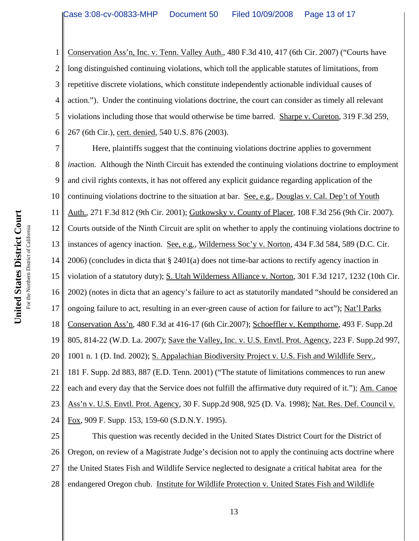1 2 3 4 5 6 Conservation Ass'n, Inc. v. Tenn. Valley Auth., 480 F.3d 410, 417 (6th Cir. 2007) ("Courts have long distinguished continuing violations, which toll the applicable statutes of limitations, from repetitive discrete violations, which constitute independently actionable individual causes of action."). Under the continuing violations doctrine, the court can consider as timely all relevant violations including those that would otherwise be time barred. Sharpe v. Cureton, 319 F.3d 259, 267 (6th Cir.), cert. denied, 540 U.S. 876 (2003).

7 8 9 10 11 12 13 14 15 16 17 18 19 20 21 22 23 24 Here, plaintiffs suggest that the continuing violations doctrine applies to government *inaction.* Although the Ninth Circuit has extended the continuing violations doctrine to employment and civil rights contexts, it has not offered any explicit guidance regarding application of the continuing violations doctrine to the situation at bar. See, e.g., Douglas v. Cal. Dep't of Youth Auth., 271 F.3d 812 (9th Cir. 2001); Gutkowsky v. County of Placer, 108 F.3d 256 (9th Cir. 2007). Courts outside of the Ninth Circuit are split on whether to apply the continuing violations doctrine to instances of agency inaction. See, e.g., Wilderness Soc'y v. Norton, 434 F.3d 584, 589 (D.C. Cir. 2006) (concludes in dicta that § 2401(a) does not time-bar actions to rectify agency inaction in violation of a statutory duty); S. Utah Wilderness Alliance v. Norton, 301 F.3d 1217, 1232 (10th Cir. 2002) (notes in dicta that an agency's failure to act as statutorily mandated "should be considered an ongoing failure to act, resulting in an ever-green cause of action for failure to act"); Nat'l Parks Conservation Ass'n, 480 F.3d at 416-17 (6th Cir.2007); Schoeffler v. Kempthorne, 493 F. Supp.2d 805, 814-22 (W.D. La. 2007); Save the Valley, Inc. v. U.S. Envtl. Prot. Agency, 223 F. Supp.2d 997, 1001 n. 1 (D. Ind. 2002); S. Appalachian Biodiversity Project v. U.S. Fish and Wildlife Serv., 181 F. Supp. 2d 883, 887 (E.D. Tenn. 2001) ("The statute of limitations commences to run anew each and every day that the Service does not fulfill the affirmative duty required of it."); Am. Canoe Ass'n v. U.S. Envtl. Prot. Agency, 30 F. Supp.2d 908, 925 (D. Va. 1998); Nat. Res. Def. Council v. Fox, 909 F. Supp. 153, 159-60 (S.D.N.Y. 1995).

25 26 27 28 This question was recently decided in the United States District Court for the District of Oregon, on review of a Magistrate Judge's decision not to apply the continuing acts doctrine where the United States Fish and Wildlife Service neglected to designate a critical habitat area for the endangered Oregon chub. Institute for Wildlife Protection v. United States Fish and Wildlife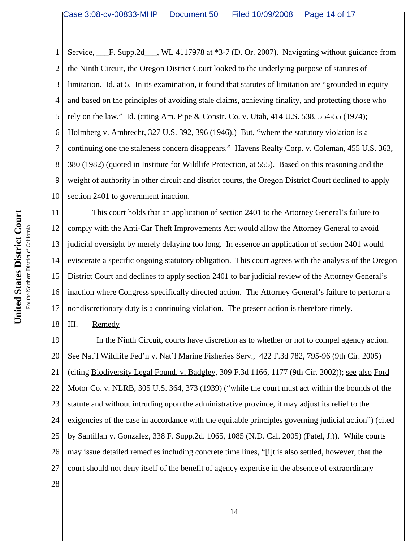1 2 3 4 5 6 7 8 9 10 Service, F. Supp.2d WL 4117978 at \*3-7 (D. Or. 2007). Navigating without guidance from the Ninth Circuit, the Oregon District Court looked to the underlying purpose of statutes of limitation. Id. at 5. In its examination, it found that statutes of limitation are "grounded in equity and based on the principles of avoiding stale claims, achieving finality, and protecting those who rely on the law." Id. (citing Am. Pipe & Constr. Co. v. Utah, 414 U.S. 538, 554-55 (1974); Holmberg v. Ambrecht, 327 U.S. 392, 396 (1946).) But, "where the statutory violation is a continuing one the staleness concern disappears." Havens Realty Corp. v. Coleman, 455 U.S. 363, 380 (1982) (quoted in Institute for Wildlife Protection, at 555). Based on this reasoning and the weight of authority in other circuit and district courts, the Oregon District Court declined to apply section 2401 to government inaction.

11 12 13 14 15 16 17 This court holds that an application of section 2401 to the Attorney General's failure to comply with the Anti-Car Theft Improvements Act would allow the Attorney General to avoid judicial oversight by merely delaying too long. In essence an application of section 2401 would eviscerate a specific ongoing statutory obligation. This court agrees with the analysis of the Oregon District Court and declines to apply section 2401 to bar judicial review of the Attorney General's inaction where Congress specifically directed action. The Attorney General's failure to perform a nondiscretionary duty is a continuing violation. The present action is therefore timely.

III. Remedy

18

19 20 21 22 23 24 25 26 27 28 In the Ninth Circuit, courts have discretion as to whether or not to compel agency action. See Nat'l Wildlife Fed'n v. Nat'l Marine Fisheries Serv., 422 F.3d 782, 795-96 (9th Cir. 2005) (citing Biodiversity Legal Found. v. Badgley, 309 F.3d 1166, 1177 (9th Cir. 2002)); see also Ford Motor Co. v. NLRB, 305 U.S. 364, 373 (1939) ("while the court must act within the bounds of the statute and without intruding upon the administrative province, it may adjust its relief to the exigencies of the case in accordance with the equitable principles governing judicial action") (cited by Santillan v. Gonzalez, 338 F. Supp.2d. 1065, 1085 (N.D. Cal. 2005) (Patel, J.)). While courts may issue detailed remedies including concrete time lines, "[i]t is also settled, however, that the court should not deny itself of the benefit of agency expertise in the absence of extraordinary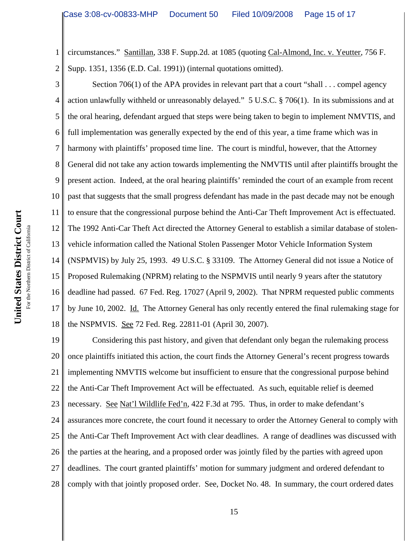1 2 circumstances." Santillan, 338 F. Supp.2d. at 1085 (quoting Cal-Almond, Inc. v. Yeutter, 756 F. Supp. 1351, 1356 (E.D. Cal. 1991)) (internal quotations omitted).

3 4 5 6 7 8 9 10 11 12 13 14 15 16 17 18 Section 706(1) of the APA provides in relevant part that a court "shall . . . compel agency action unlawfully withheld or unreasonably delayed." 5 U.S.C. § 706(1). In its submissions and at the oral hearing, defendant argued that steps were being taken to begin to implement NMVTIS, and full implementation was generally expected by the end of this year, a time frame which was in harmony with plaintiffs' proposed time line. The court is mindful, however, that the Attorney General did not take any action towards implementing the NMVTIS until after plaintiffs brought the present action. Indeed, at the oral hearing plaintiffs' reminded the court of an example from recent past that suggests that the small progress defendant has made in the past decade may not be enough to ensure that the congressional purpose behind the Anti-Car Theft Improvement Act is effectuated. The 1992 Anti-Car Theft Act directed the Attorney General to establish a similar database of stolenvehicle information called the National Stolen Passenger Motor Vehicle Information System (NSPMVIS) by July 25, 1993. 49 U.S.C. § 33109. The Attorney General did not issue a Notice of Proposed Rulemaking (NPRM) relating to the NSPMVIS until nearly 9 years after the statutory deadline had passed. 67 Fed. Reg. 17027 (April 9, 2002). That NPRM requested public comments by June 10, 2002. Id. The Attorney General has only recently entered the final rulemaking stage for the NSPMVIS. See 72 Fed. Reg. 22811-01 (April 30, 2007).

19 20 21 22 23 24 25 26 27 28 Considering this past history, and given that defendant only began the rulemaking process once plaintiffs initiated this action, the court finds the Attorney General's recent progress towards implementing NMVTIS welcome but insufficient to ensure that the congressional purpose behind the Anti-Car Theft Improvement Act will be effectuated. As such, equitable relief is deemed necessary. See Nat'l Wildlife Fed'n, 422 F.3d at 795. Thus, in order to make defendant's assurances more concrete, the court found it necessary to order the Attorney General to comply with the Anti-Car Theft Improvement Act with clear deadlines. A range of deadlines was discussed with the parties at the hearing, and a proposed order was jointly filed by the parties with agreed upon deadlines. The court granted plaintiffs' motion for summary judgment and ordered defendant to comply with that jointly proposed order. See, Docket No. 48. In summary, the court ordered dates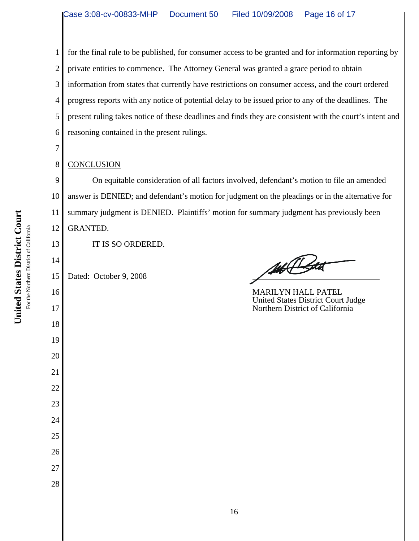1 2 3 4 5 6 for the final rule to be published, for consumer access to be granted and for information reporting by private entities to commence. The Attorney General was granted a grace period to obtain information from states that currently have restrictions on consumer access, and the court ordered progress reports with any notice of potential delay to be issued prior to any of the deadlines. The present ruling takes notice of these deadlines and finds they are consistent with the court's intent and reasoning contained in the present rulings.

### 8 **CONCLUSION**

7

13

14

16

17

18

19

20

21

22

23

24

25

26

27

28

9 10 11 12 On equitable consideration of all factors involved, defendant's motion to file an amended answer is DENIED; and defendant's motion for judgment on the pleadings or in the alternative for summary judgment is DENIED. Plaintiffs' motion for summary judgment has previously been GRANTED.

IT IS SO ORDERED.

15 Dated: October 9, 2008

14 Bota

MARILYN HALL PATEL United States District Court Judge Northern District of California